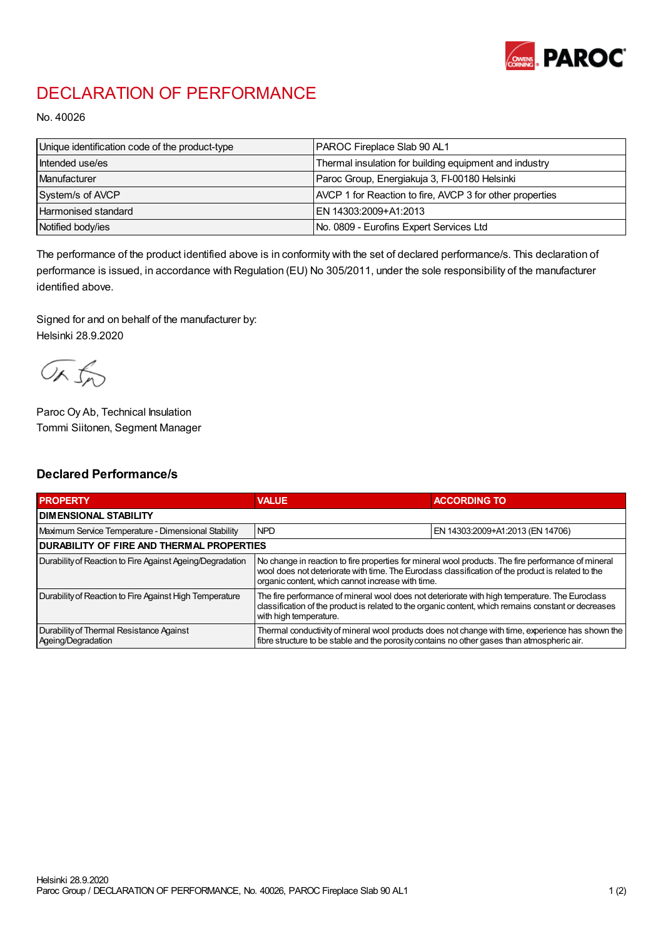

## DECLARATION OF PERFORMANCE

No. 40026

| Unique identification code of the product-type | PAROC Fireplace Slab 90 AL1                              |
|------------------------------------------------|----------------------------------------------------------|
| Intended use/es                                | Thermal insulation for building equipment and industry   |
| Manufacturer                                   | Paroc Group, Energiakuja 3, FI-00180 Helsinki            |
| System/s of AVCP                               | AVCP 1 for Reaction to fire, AVCP 3 for other properties |
| <b>Harmonised standard</b>                     | EN 14303:2009+A1:2013                                    |
| Notified body/ies                              | No. 0809 - Eurofins Expert Services Ltd                  |

The performance of the product identified above is in conformity with the set of declared performance/s. This declaration of performance is issued, in accordance with Regulation (EU) No 305/2011, under the sole responsibility of the manufacturer identified above.

Signed for and on behalf of the manufacturer by: Helsinki 28.9.2020

ORJO

Paroc Oy Ab, Technical Insulation Tommi Siitonen, Segment Manager

## Declared Performance/s

| <b>PROPERTY</b>                                                | <b>VALUE</b>                                                                                                                                                                                                                                                   | <b>ACCORDING TO</b>              |  |
|----------------------------------------------------------------|----------------------------------------------------------------------------------------------------------------------------------------------------------------------------------------------------------------------------------------------------------------|----------------------------------|--|
| <b>I DIMENSIONAL STABILITY</b>                                 |                                                                                                                                                                                                                                                                |                                  |  |
| Maximum Service Temperature - Dimensional Stability            | <b>NPD</b>                                                                                                                                                                                                                                                     | EN 14303:2009+A1:2013 (EN 14706) |  |
| <b>DURABILITY OF FIRE AND THERMAL PROPERTIES</b>               |                                                                                                                                                                                                                                                                |                                  |  |
| Durability of Reaction to Fire Against Ageing/Degradation      | No change in reaction to fire properties for mineral wool products. The fire performance of mineral<br>wool does not deteriorate with time. The Euroclass classification of the product is related to the<br>organic content, which cannot increase with time. |                                  |  |
| Durability of Reaction to Fire Against High Temperature        | The fire performance of mineral wool does not deteriorate with high temperature. The Euroclass<br>classification of the product is related to the organic content, which remains constant or decreases<br>with high temperature.                               |                                  |  |
| Durability of Thermal Resistance Against<br>Ageing/Degradation | Thermal conductivity of mineral wool products does not change with time, experience has shown the<br>fibre structure to be stable and the porosity contains no other gases than atmospheric air.                                                               |                                  |  |